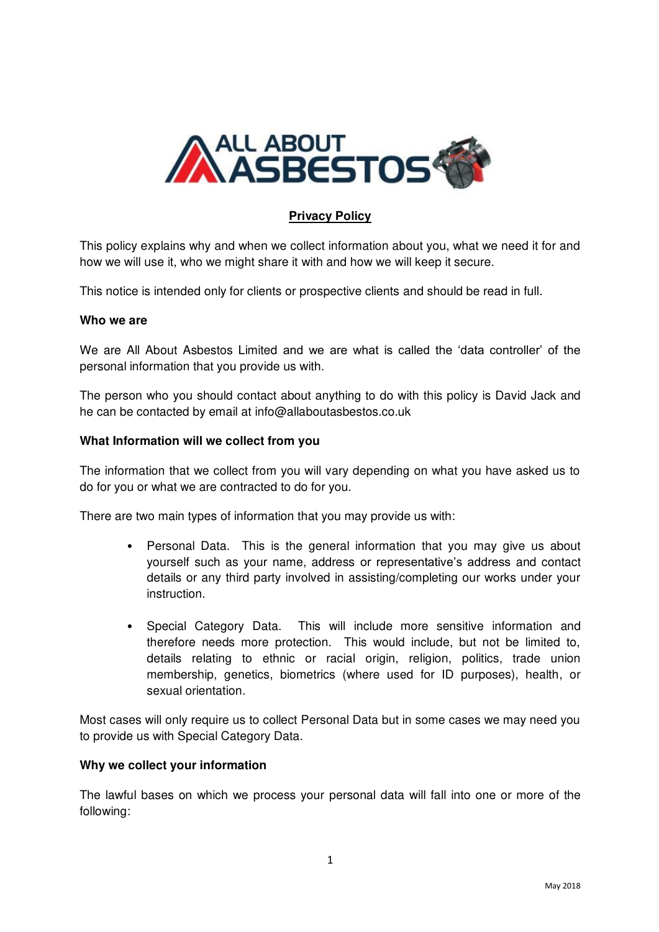

# **Privacy Policy**

This policy explains why and when we collect information about you, what we need it for and how we will use it, who we might share it with and how we will keep it secure.

This notice is intended only for clients or prospective clients and should be read in full.

## **Who we are**

We are All About Asbestos Limited and we are what is called the 'data controller' of the personal information that you provide us with.

The person who you should contact about anything to do with this policy is David Jack and he can be contacted by email at info@allaboutasbestos.co.uk

## **What Information will we collect from you**

The information that we collect from you will vary depending on what you have asked us to do for you or what we are contracted to do for you.

There are two main types of information that you may provide us with:

- Personal Data. This is the general information that you may give us about yourself such as your name, address or representative's address and contact details or any third party involved in assisting/completing our works under your instruction.
- Special Category Data. This will include more sensitive information and therefore needs more protection. This would include, but not be limited to, details relating to ethnic or racial origin, religion, politics, trade union membership, genetics, biometrics (where used for ID purposes), health, or sexual orientation.

Most cases will only require us to collect Personal Data but in some cases we may need you to provide us with Special Category Data.

#### **Why we collect your information**

The lawful bases on which we process your personal data will fall into one or more of the following: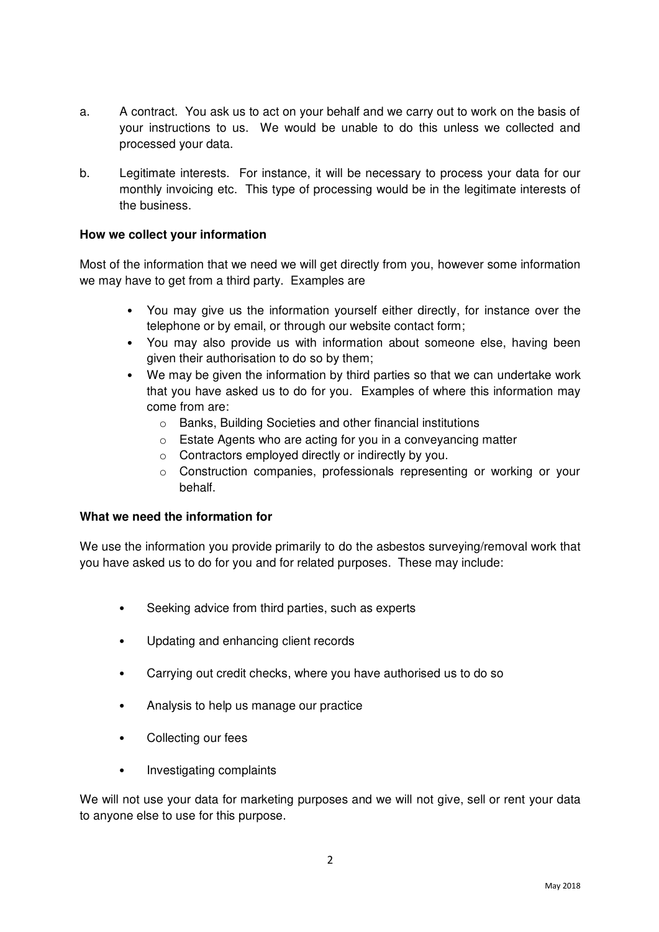- a. A contract. You ask us to act on your behalf and we carry out to work on the basis of your instructions to us. We would be unable to do this unless we collected and processed your data.
- b. Legitimate interests. For instance, it will be necessary to process your data for our monthly invoicing etc. This type of processing would be in the legitimate interests of the business.

## **How we collect your information**

Most of the information that we need we will get directly from you, however some information we may have to get from a third party. Examples are

- You may give us the information yourself either directly, for instance over the telephone or by email, or through our website contact form;
- You may also provide us with information about someone else, having been given their authorisation to do so by them;
- We may be given the information by third parties so that we can undertake work that you have asked us to do for you. Examples of where this information may come from are:
	- o Banks, Building Societies and other financial institutions
	- o Estate Agents who are acting for you in a conveyancing matter
	- o Contractors employed directly or indirectly by you.
	- o Construction companies, professionals representing or working or your behalf.

## **What we need the information for**

We use the information you provide primarily to do the asbestos surveying/removal work that you have asked us to do for you and for related purposes. These may include:

- Seeking advice from third parties, such as experts
- Updating and enhancing client records
- Carrying out credit checks, where you have authorised us to do so
- Analysis to help us manage our practice
- Collecting our fees
- Investigating complaints

We will not use your data for marketing purposes and we will not give, sell or rent your data to anyone else to use for this purpose.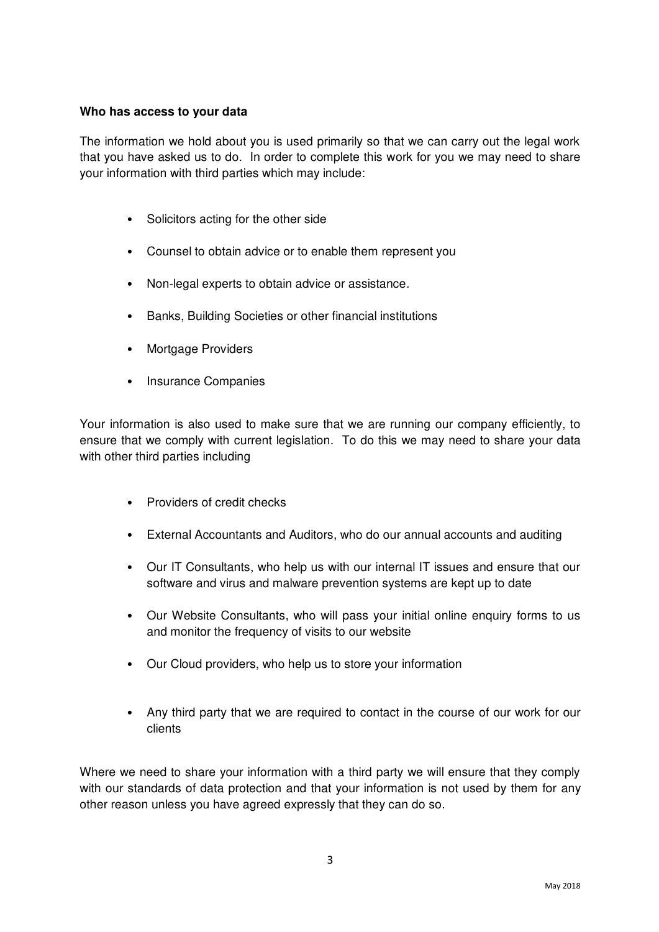# **Who has access to your data**

The information we hold about you is used primarily so that we can carry out the legal work that you have asked us to do. In order to complete this work for you we may need to share your information with third parties which may include:

- Solicitors acting for the other side
- Counsel to obtain advice or to enable them represent you
- Non-legal experts to obtain advice or assistance.
- Banks, Building Societies or other financial institutions
- Mortgage Providers
- Insurance Companies

Your information is also used to make sure that we are running our company efficiently, to ensure that we comply with current legislation. To do this we may need to share your data with other third parties including

- Providers of credit checks
- External Accountants and Auditors, who do our annual accounts and auditing
- Our IT Consultants, who help us with our internal IT issues and ensure that our software and virus and malware prevention systems are kept up to date
- Our Website Consultants, who will pass your initial online enquiry forms to us and monitor the frequency of visits to our website
- Our Cloud providers, who help us to store your information
- Any third party that we are required to contact in the course of our work for our clients

Where we need to share your information with a third party we will ensure that they comply with our standards of data protection and that your information is not used by them for any other reason unless you have agreed expressly that they can do so.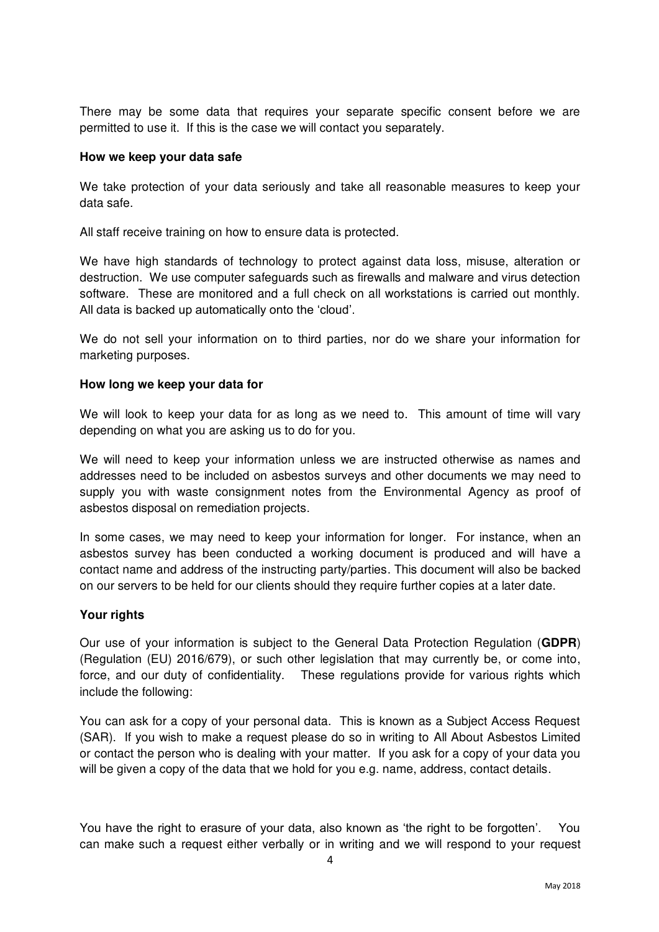There may be some data that requires your separate specific consent before we are permitted to use it. If this is the case we will contact you separately.

#### **How we keep your data safe**

We take protection of your data seriously and take all reasonable measures to keep your data safe.

All staff receive training on how to ensure data is protected.

We have high standards of technology to protect against data loss, misuse, alteration or destruction. We use computer safeguards such as firewalls and malware and virus detection software. These are monitored and a full check on all workstations is carried out monthly. All data is backed up automatically onto the 'cloud'.

We do not sell your information on to third parties, nor do we share your information for marketing purposes.

#### **How long we keep your data for**

We will look to keep your data for as long as we need to. This amount of time will vary depending on what you are asking us to do for you.

We will need to keep your information unless we are instructed otherwise as names and addresses need to be included on asbestos surveys and other documents we may need to supply you with waste consignment notes from the Environmental Agency as proof of asbestos disposal on remediation projects.

In some cases, we may need to keep your information for longer. For instance, when an asbestos survey has been conducted a working document is produced and will have a contact name and address of the instructing party/parties. This document will also be backed on our servers to be held for our clients should they require further copies at a later date.

#### **Your rights**

Our use of your information is subject to the General Data Protection Regulation (**GDPR**) (Regulation (EU) 2016/679), or such other legislation that may currently be, or come into, force, and our duty of confidentiality. These regulations provide for various rights which include the following:

You can ask for a copy of your personal data. This is known as a Subject Access Request (SAR). If you wish to make a request please do so in writing to All About Asbestos Limited or contact the person who is dealing with your matter. If you ask for a copy of your data you will be given a copy of the data that we hold for you e.g. name, address, contact details.

You have the right to erasure of your data, also known as 'the right to be forgotten'. You can make such a request either verbally or in writing and we will respond to your request